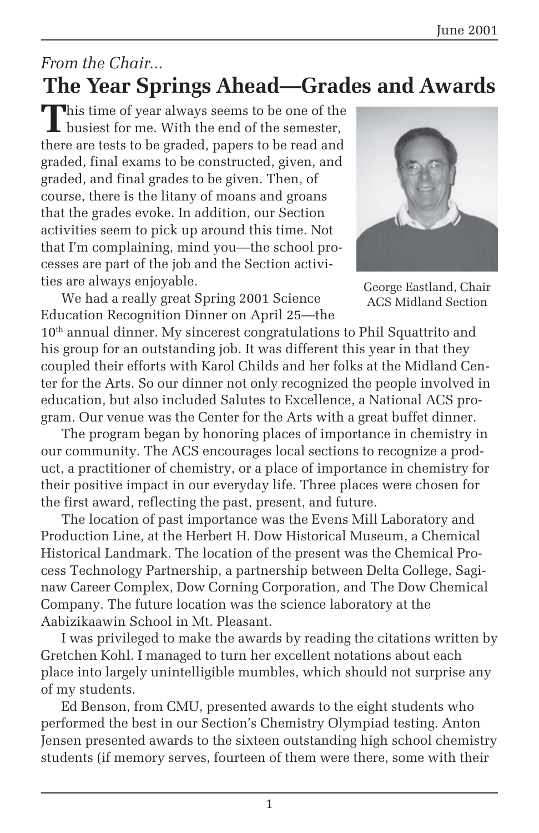### *From the Chair...* **The Year Springs Ahead—Grades and Awards**

This time of year always seems to be one of the I busiest for me. With the end of the semester, there are tests to be graded, papers to be read and graded, final exams to be constructed, given, and graded, and final grades to be given. Then, of course, there is the litany of moans and groans that the grades evoke. In addition, our Section activities seem to pick up around this time. Not that I'm complaining, mind you—the school processes are part of the job and the Section activities are always enjoyable.

We had a really great Spring 2001 Science Education Recognition Dinner on April 25—the



George Eastland, Chair ACS Midland Section

10<sup>th</sup> annual dinner. My sincerest congratulations to Phil Squattrito and his group for an outstanding job. It was different this year in that they coupled their efforts with Karol Childs and her folks at the Midland Center for the Arts. So our dinner not only recognized the people involved in education, but also included Salutes to Excellence, a National ACS program. Our venue was the Center for the Arts with a great buffet dinner.

The program began by honoring places of importance in chemistry in our community. The ACS encourages local sections to recognize a product, a practitioner of chemistry, or a place of importance in chemistry for their positive impact in our everyday life. Three places were chosen for the first award, reflecting the past, present, and future.

The location of past importance was the Evens Mill Laboratory and Production Line, at the Herbert H. Dow Historical Museum, a Chemical Historical Landmark. The location of the present was the Chemical Process Technology Partnership, a partnership between Delta College, Saginaw Career Complex, Dow Corning Corporation, and The Dow Chemical Company. The future location was the science laboratory at the Aabizikaawin School in Mt. Pleasant.

I was privileged to make the awards by reading the citations written by Gretchen Kohl. I managed to turn her excellent notations about each place into largely unintelligible mumbles, which should not surprise any of my students.

Ed Benson, from CMU, presented awards to the eight students who performed the best in our Section's Chemistry Olympiad testing. Anton Jensen presented awards to the sixteen outstanding high school chemistry students (if memory serves, fourteen of them were there, some with their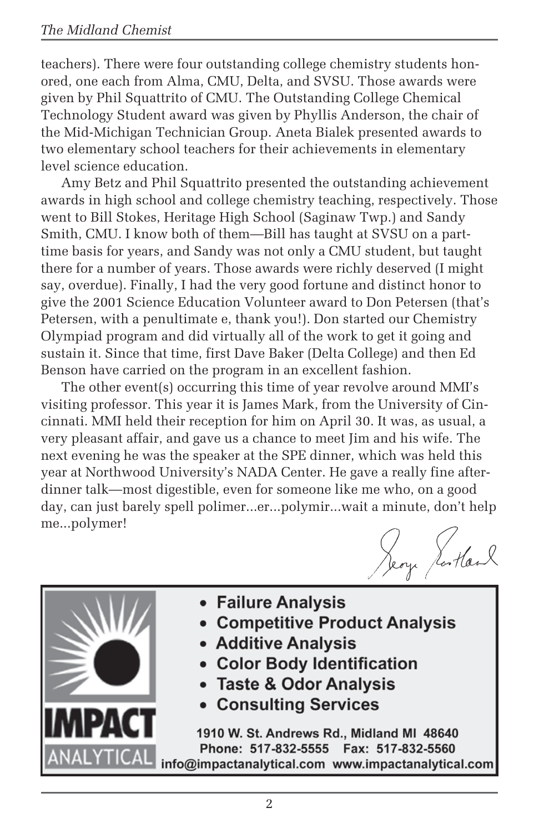teachers). There were four outstanding college chemistry students honored, one each from Alma, CMU, Delta, and SVSU. Those awards were given by Phil Squattrito of CMU. The Outstanding College Chemical Technology Student award was given by Phyllis Anderson, the chair of the Mid-Michigan Technician Group. Aneta Bialek presented awards to two elementary school teachers for their achievements in elementary level science education.

Amy Betz and Phil Squattrito presented the outstanding achievement awards in high school and college chemistry teaching, respectively. Those went to Bill Stokes, Heritage High School (Saginaw Twp.) and Sandy Smith, CMU. I know both of them—Bill has taught at SVSU on a parttime basis for years, and Sandy was not only a CMU student, but taught there for a number of years. Those awards were richly deserved (I might say, overdue). Finally, I had the very good fortune and distinct honor to give the 2001 Science Education Volunteer award to Don Petersen (that's Peters*e*n, with a penultimate e, thank you!). Don started our Chemistry Olympiad program and did virtually all of the work to get it going and sustain it. Since that time, first Dave Baker (Delta College) and then Ed Benson have carried on the program in an excellent fashion.

The other event(s) occurring this time of year revolve around MMI's visiting professor. This year it is James Mark, from the University of Cincinnati. MMI held their reception for him on April 30. It was, as usual, a very pleasant affair, and gave us a chance to meet Jim and his wife. The next evening he was the speaker at the SPE dinner, which was held this year at Northwood University's NADA Center. He gave a really fine afterdinner talk—most digestible, even for someone like me who, on a good day, can just barely spell polimer...er...polymir...wait a minute, don't help me...polymer!

Jeoy Jostland



- Failure Analysis
- Competitive Product Analysis
- Additive Analysis
- Color Body Identification
- **Taste & Odor Analysis**
- **Consulting Services**

1910 W. St. Andrews Rd., Midland MI 48640 Phone: 517-832-5555 Fax: 517-832-5560 info@impactanalytical.com www.impactanalytical.com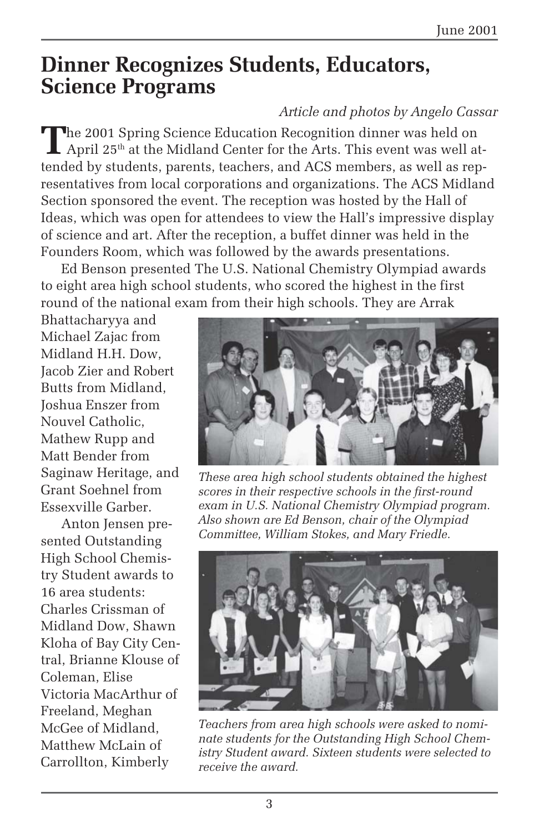### **Dinner Recognizes Students, Educators, Science Programs**

#### *Article and photos by Angelo Cassar*

The 2001 Spring Science Education Recognition dinner was held on April 25<sup>th</sup> at the Midland Center for the Arts. This event was well attended by students, parents, teachers, and ACS members, as well as representatives from local corporations and organizations. The ACS Midland Section sponsored the event. The reception was hosted by the Hall of Ideas, which was open for attendees to view the Hall's impressive display of science and art. After the reception, a buffet dinner was held in the Founders Room, which was followed by the awards presentations.

Ed Benson presented The U.S. National Chemistry Olympiad awards to eight area high school students, who scored the highest in the first round of the national exam from their high schools. They are Arrak

Bhattacharyya and Michael Zajac from Midland H.H. Dow, Jacob Zier and Robert Butts from Midland, Joshua Enszer from Nouvel Catholic, Mathew Rupp and Matt Bender from Saginaw Heritage, and Grant Soehnel from Essexville Garber.

Anton Jensen presented Outstanding High School Chemistry Student awards to 16 area students: Charles Crissman of Midland Dow, Shawn Kloha of Bay City Central, Brianne Klouse of Coleman, Elise Victoria MacArthur of Freeland, Meghan McGee of Midland, Matthew McLain of Carrollton, Kimberly



*These area high school students obtained the highest scores in their respective schools in the first-round exam in U.S. National Chemistry Olympiad program. Also shown are Ed Benson, chair of the Olympiad Committee, William Stokes, and Mary Friedle.*



*Teachers from area high schools were asked to nominate students for the Outstanding High School Chemistry Student award. Sixteen students were selected to receive the award.*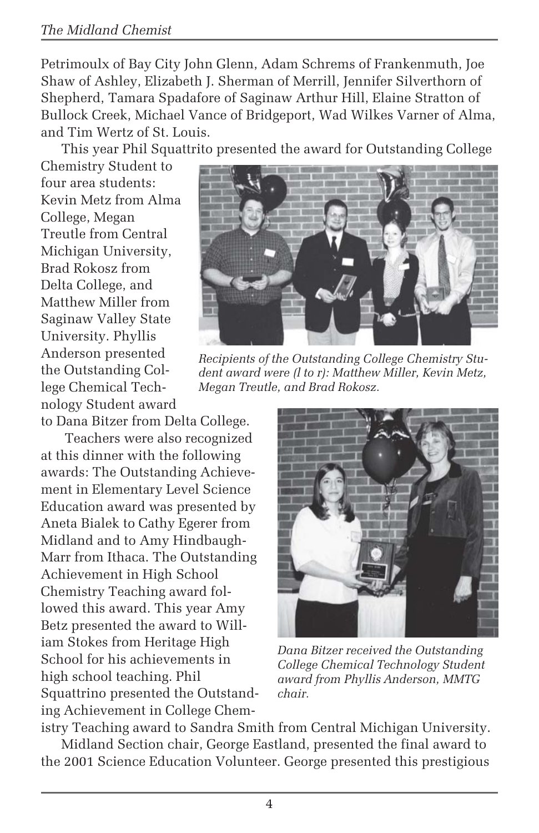#### *The Midland Chemist*

Petrimoulx of Bay City John Glenn, Adam Schrems of Frankenmuth, Joe Shaw of Ashley, Elizabeth J. Sherman of Merrill, Jennifer Silverthorn of Shepherd, Tamara Spadafore of Saginaw Arthur Hill, Elaine Stratton of Bullock Creek, Michael Vance of Bridgeport, Wad Wilkes Varner of Alma, and Tim Wertz of St. Louis.

This year Phil Squattrito presented the award for Outstanding College

Chemistry Student to four area students: Kevin Metz from Alma College, Megan Treutle from Central Michigan University, Brad Rokosz from Delta College, and Matthew Miller from Saginaw Valley State University. Phyllis Anderson presented the Outstanding College Chemical Technology Student award

to Dana Bitzer from Delta College.

 Teachers were also recognized at this dinner with the following awards: The Outstanding Achievement in Elementary Level Science Education award was presented by Aneta Bialek to Cathy Egerer from Midland and to Amy Hindbaugh-Marr from Ithaca. The Outstanding Achievement in High School Chemistry Teaching award followed this award. This year Amy Betz presented the award to William Stokes from Heritage High School for his achievements in high school teaching. Phil Squattrino presented the Outstanding Achievement in College Chem-



*Recipients of the Outstanding College Chemistry Student award were (l to r): Matthew Miller, Kevin Metz, Megan Treutle, and Brad Rokosz.*



*Dana Bitzer received the Outstanding College Chemical Technology Student award from Phyllis Anderson, MMTG chair.*

istry Teaching award to Sandra Smith from Central Michigan University. Midland Section chair, George Eastland, presented the final award to the 2001 Science Education Volunteer. George presented this prestigious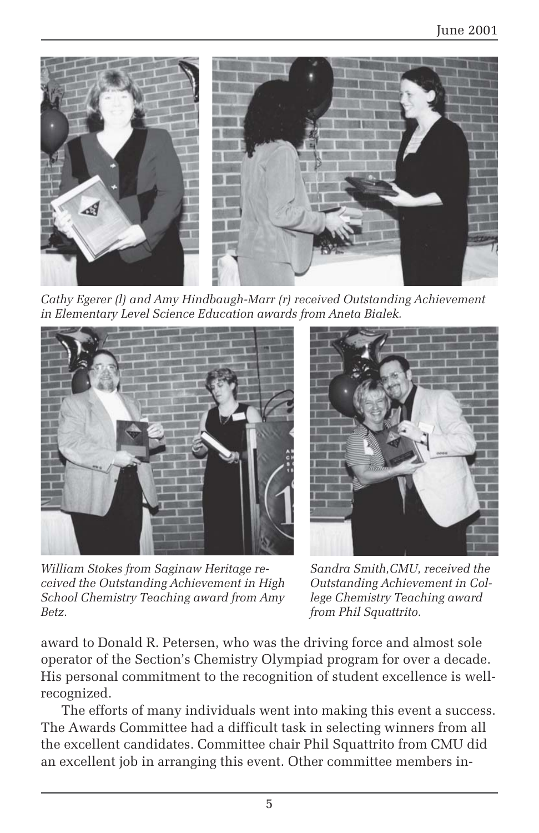

*Cathy Egerer (l) and Amy Hindbaugh-Marr (r) received Outstanding Achievement in Elementary Level Science Education awards from Aneta Bialek.*



*William Stokes from Saginaw Heritage received the Outstanding Achievement in High School Chemistry Teaching award from Amy Betz.*



*Sandra Smith,CMU, received the Outstanding Achievement in College Chemistry Teaching award from Phil Squattrito.*

award to Donald R. Petersen, who was the driving force and almost sole operator of the Section's Chemistry Olympiad program for over a decade. His personal commitment to the recognition of student excellence is wellrecognized.

The efforts of many individuals went into making this event a success. The Awards Committee had a difficult task in selecting winners from all the excellent candidates. Committee chair Phil Squattrito from CMU did an excellent job in arranging this event. Other committee members in-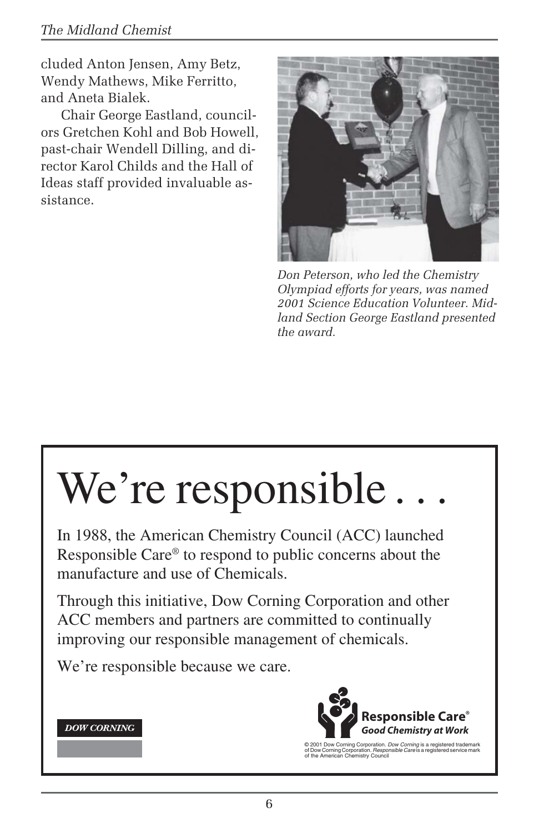#### *The Midland Chemist*

cluded Anton Jensen, Amy Betz, Wendy Mathews, Mike Ferritto, and Aneta Bialek.

Chair George Eastland, councilors Gretchen Kohl and Bob Howell, past-chair Wendell Dilling, and director Karol Childs and the Hall of Ideas staff provided invaluable assistance.



*Don Peterson, who led the Chemistry Olympiad efforts for years, was named 2001 Science Education Volunteer. Midland Section George Eastland presented the award.*

# We're responsible.

In 1988, the American Chemistry Council (ACC) launched Responsible Care® to respond to public concerns about the manufacture and use of Chemicals.

Through this initiative, Dow Corning Corporation and other ACC members and partners are committed to continually improving our responsible management of chemicals.

We're responsible because we care.

#### **DOW CORNING**



© 2001 Dow Corning Corporation. *Dow Corning* is a registered trademark<br>of Dow Corning Corporation. *Responsible Care* is a registered service mark<br>of the American Chemistry Council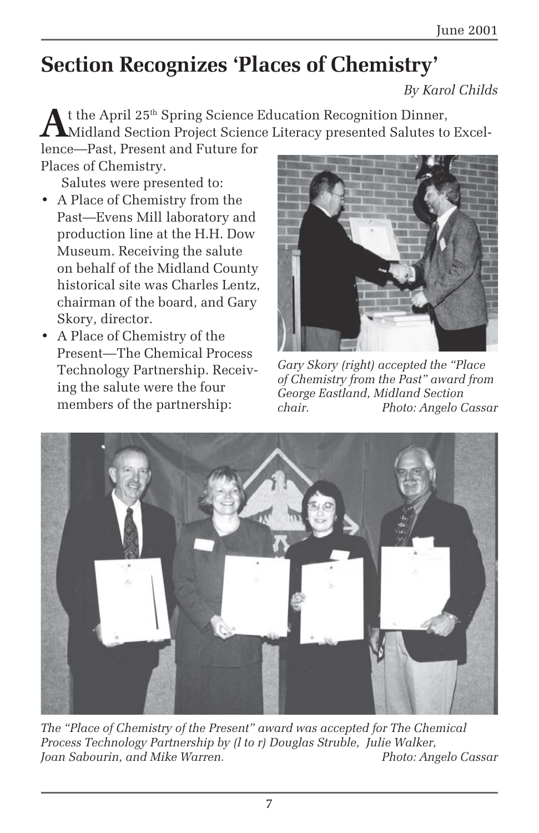# **Section Recognizes 'Places of Chemistry'**

*By Karol Childs*

t the April 25<sup>th</sup> Spring Science Education Recognition Dinner, Midland Section Project Science Literacy presented Salutes to Excellence—Past, Present and Future for

Places of Chemistry.

Salutes were presented to:

- A Place of Chemistry from the Past—Evens Mill laboratory and production line at the H.H. Dow Museum. Receiving the salute on behalf of the Midland County historical site was Charles Lentz, chairman of the board, and Gary Skory, director.
- A Place of Chemistry of the Present—The Chemical Process Technology Partnership. Receiving the salute were the four members of the partnership:



*Gary Skory (right) accepted the "Place of Chemistry from the Past" award from George Eastland, Midland Section chair. Photo: Angelo Cassar*



*The "Place of Chemistry of the Present" award was accepted for The Chemical Process Technology Partnership by (l to r) Douglas Struble, Julie Walker, Joan Sabourin, and Mike Warren.*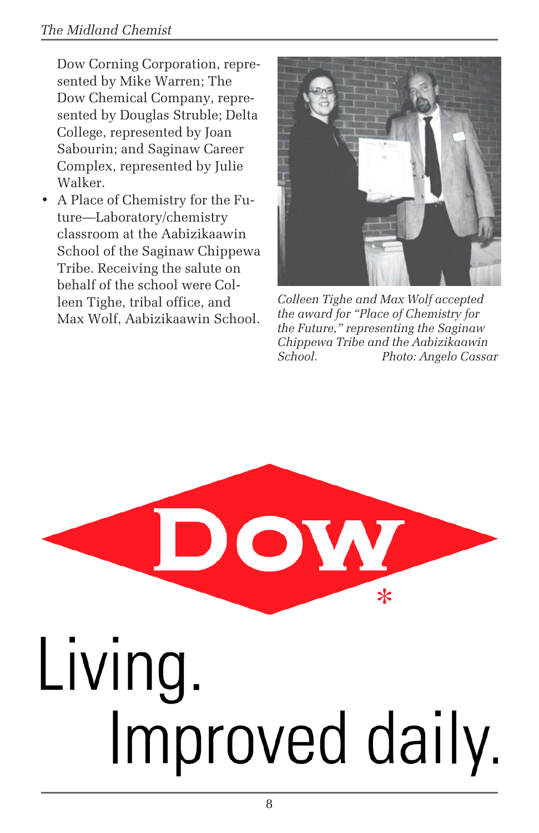Dow Corning Corporation, represented by Mike Warren; The Dow Chemical Company, represented by Douglas Struble; Delta College, represented by Joan Sabourin; and Saginaw Career Complex, represented by Julie Walker.

• A Place of Chemistry for the Future—Laboratory/chemistry classroom at the Aabizikaawin School of the Saginaw Chippewa Tribe. Receiving the salute on behalf of the school were Colleen Tighe, tribal office, and Max Wolf, Aabizikaawin School.



*Colleen Tighe and Max Wolf accepted the award for "Place of Chemistry for the Future," representing the Saginaw Chippewa Tribe and the Aabizikaawin School. Photo: Angelo Cassar*

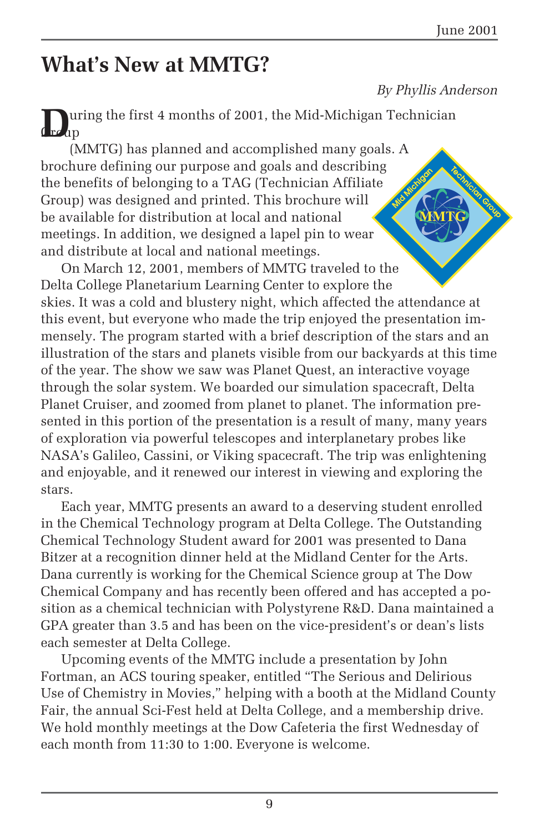### **What's New at MMTG?**

#### *By Phyllis Anderson*

**D**uring the first 4 months of 2001, the Mid-Michigan Technician  $\ln$ 

(MMTG) has planned and accomplished many goals. A brochure defining our purpose and goals and describing the benefits of belonging to a TAG (Technician Affiliate Group) was designed and printed. This brochure will be available for distribution at local and national meetings. In addition, we designed a lapel pin to wear and distribute at local and national meetings.

On March 12, 2001, members of MMTG traveled to the Delta College Planetarium Learning Center to explore the skies. It was a cold and blustery night, which affected the attendance at this event, but everyone who made the trip enjoyed the presentation immensely. The program started with a brief description of the stars and an illustration of the stars and planets visible from our backyards at this time of the year. The show we saw was Planet Quest, an interactive voyage through the solar system. We boarded our simulation spacecraft, Delta Planet Cruiser, and zoomed from planet to planet. The information presented in this portion of the presentation is a result of many, many years of exploration via powerful telescopes and interplanetary probes like NASA's Galileo, Cassini, or Viking spacecraft. The trip was enlightening and enjoyable, and it renewed our interest in viewing and exploring the stars.

Each year, MMTG presents an award to a deserving student enrolled in the Chemical Technology program at Delta College. The Outstanding Chemical Technology Student award for 2001 was presented to Dana Bitzer at a recognition dinner held at the Midland Center for the Arts. Dana currently is working for the Chemical Science group at The Dow Chemical Company and has recently been offered and has accepted a position as a chemical technician with Polystyrene R&D. Dana maintained a GPA greater than 3.5 and has been on the vice-president's or dean's lists each semester at Delta College.

Upcoming events of the MMTG include a presentation by John Fortman, an ACS touring speaker, entitled "The Serious and Delirious Use of Chemistry in Movies," helping with a booth at the Midland County Fair, the annual Sci-Fest held at Delta College, and a membership drive. We hold monthly meetings at the Dow Cafeteria the first Wednesday of each month from 11:30 to 1:00. Everyone is welcome.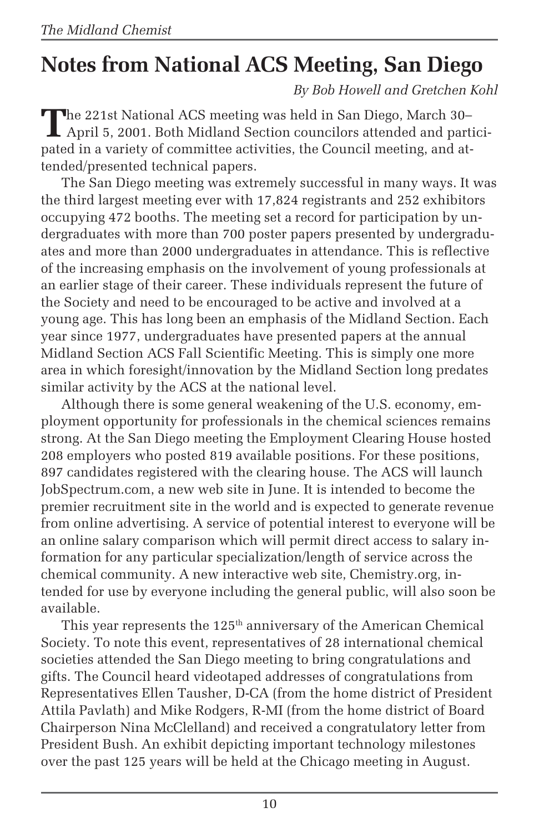# **Notes from National ACS Meeting, San Diego**

*By Bob Howell and Gretchen Kohl*

**T**he 221st National ACS meeting was held in San Diego, March 30– April 5, 2001. Both Midland Section councilors attended and participated in a variety of committee activities, the Council meeting, and attended/presented technical papers.

The San Diego meeting was extremely successful in many ways. It was the third largest meeting ever with 17,824 registrants and 252 exhibitors occupying 472 booths. The meeting set a record for participation by undergraduates with more than 700 poster papers presented by undergraduates and more than 2000 undergraduates in attendance. This is reflective of the increasing emphasis on the involvement of young professionals at an earlier stage of their career. These individuals represent the future of the Society and need to be encouraged to be active and involved at a young age. This has long been an emphasis of the Midland Section. Each year since 1977, undergraduates have presented papers at the annual Midland Section ACS Fall Scientific Meeting. This is simply one more area in which foresight/innovation by the Midland Section long predates similar activity by the ACS at the national level.

Although there is some general weakening of the U.S. economy, employment opportunity for professionals in the chemical sciences remains strong. At the San Diego meeting the Employment Clearing House hosted 208 employers who posted 819 available positions. For these positions, 897 candidates registered with the clearing house. The ACS will launch JobSpectrum.com, a new web site in June. It is intended to become the premier recruitment site in the world and is expected to generate revenue from online advertising. A service of potential interest to everyone will be an online salary comparison which will permit direct access to salary information for any particular specialization/length of service across the chemical community. A new interactive web site, Chemistry.org, intended for use by everyone including the general public, will also soon be available.

This year represents the  $125<sup>th</sup>$  anniversary of the American Chemical Society. To note this event, representatives of 28 international chemical societies attended the San Diego meeting to bring congratulations and gifts. The Council heard videotaped addresses of congratulations from Representatives Ellen Tausher, D-CA (from the home district of President Attila Pavlath) and Mike Rodgers, R-MI (from the home district of Board Chairperson Nina McClelland) and received a congratulatory letter from President Bush. An exhibit depicting important technology milestones over the past 125 years will be held at the Chicago meeting in August.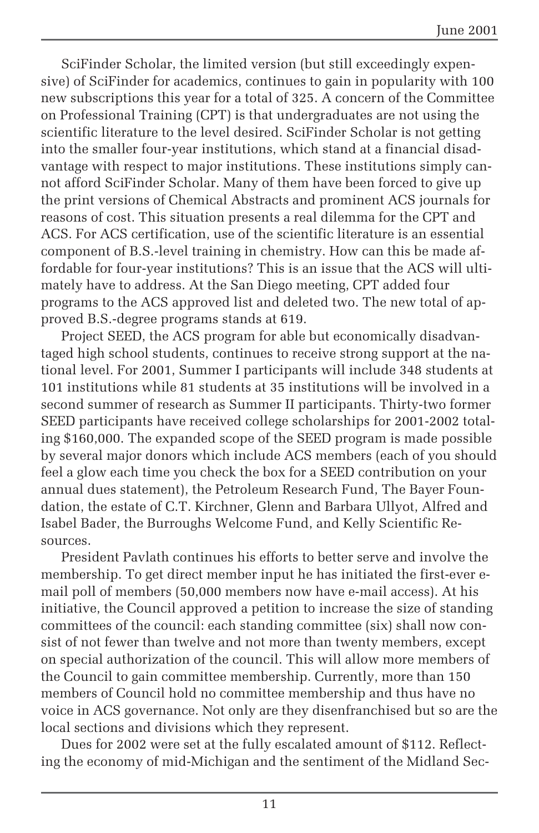SciFinder Scholar, the limited version (but still exceedingly expensive) of SciFinder for academics, continues to gain in popularity with 100 new subscriptions this year for a total of 325. A concern of the Committee on Professional Training (CPT) is that undergraduates are not using the scientific literature to the level desired. SciFinder Scholar is not getting into the smaller four-year institutions, which stand at a financial disadvantage with respect to major institutions. These institutions simply cannot afford SciFinder Scholar. Many of them have been forced to give up the print versions of Chemical Abstracts and prominent ACS journals for reasons of cost. This situation presents a real dilemma for the CPT and ACS. For ACS certification, use of the scientific literature is an essential component of B.S.-level training in chemistry. How can this be made affordable for four-year institutions? This is an issue that the ACS will ultimately have to address. At the San Diego meeting, CPT added four programs to the ACS approved list and deleted two. The new total of approved B.S.-degree programs stands at 619.

Project SEED, the ACS program for able but economically disadvantaged high school students, continues to receive strong support at the national level. For 2001, Summer I participants will include 348 students at 101 institutions while 81 students at 35 institutions will be involved in a second summer of research as Summer II participants. Thirty-two former SEED participants have received college scholarships for 2001-2002 totaling \$160,000. The expanded scope of the SEED program is made possible by several major donors which include ACS members (each of you should feel a glow each time you check the box for a SEED contribution on your annual dues statement), the Petroleum Research Fund, The Bayer Foundation, the estate of C.T. Kirchner, Glenn and Barbara Ullyot, Alfred and Isabel Bader, the Burroughs Welcome Fund, and Kelly Scientific Resources.

President Pavlath continues his efforts to better serve and involve the membership. To get direct member input he has initiated the first-ever email poll of members (50,000 members now have e-mail access). At his initiative, the Council approved a petition to increase the size of standing committees of the council: each standing committee (six) shall now consist of not fewer than twelve and not more than twenty members, except on special authorization of the council. This will allow more members of the Council to gain committee membership. Currently, more than 150 members of Council hold no committee membership and thus have no voice in ACS governance. Not only are they disenfranchised but so are the local sections and divisions which they represent.

Dues for 2002 were set at the fully escalated amount of \$112. Reflecting the economy of mid-Michigan and the sentiment of the Midland Sec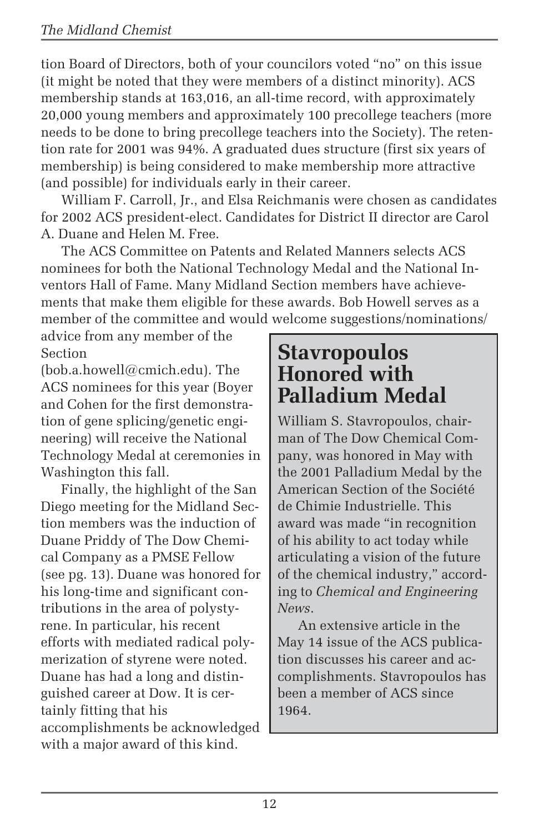tion Board of Directors, both of your councilors voted "no" on this issue (it might be noted that they were members of a distinct minority). ACS membership stands at 163,016, an all-time record, with approximately 20,000 young members and approximately 100 precollege teachers (more needs to be done to bring precollege teachers into the Society). The retention rate for 2001 was 94%. A graduated dues structure (first six years of membership) is being considered to make membership more attractive (and possible) for individuals early in their career.

William F. Carroll, Jr., and Elsa Reichmanis were chosen as candidates for 2002 ACS president-elect. Candidates for District II director are Carol A. Duane and Helen M. Free.

The ACS Committee on Patents and Related Manners selects ACS nominees for both the National Technology Medal and the National Inventors Hall of Fame. Many Midland Section members have achievements that make them eligible for these awards. Bob Howell serves as a member of the committee and would welcome suggestions/nominations/

advice from any member of the Section

(bob.a.howell@cmich.edu). The ACS nominees for this year (Boyer and Cohen for the first demonstration of gene splicing/genetic engineering) will receive the National Technology Medal at ceremonies in Washington this fall.

Finally, the highlight of the San Diego meeting for the Midland Section members was the induction of Duane Priddy of The Dow Chemical Company as a PMSE Fellow (see pg. 13). Duane was honored for his long-time and significant contributions in the area of polystyrene. In particular, his recent efforts with mediated radical polymerization of styrene were noted. Duane has had a long and distinguished career at Dow. It is certainly fitting that his accomplishments be acknowledged with a major award of this kind.

### **Stavropoulos Honored with Palladium Medal**

William S. Stavropoulos, chairman of The Dow Chemical Company, was honored in May with the 2001 Palladium Medal by the American Section of the Société de Chimie Industrielle. This award was made "in recognition of his ability to act today while articulating a vision of the future of the chemical industry," according to *Chemical and Engineering News*.

An extensive article in the May 14 issue of the ACS publication discusses his career and accomplishments. Stavropoulos has been a member of ACS since 1964.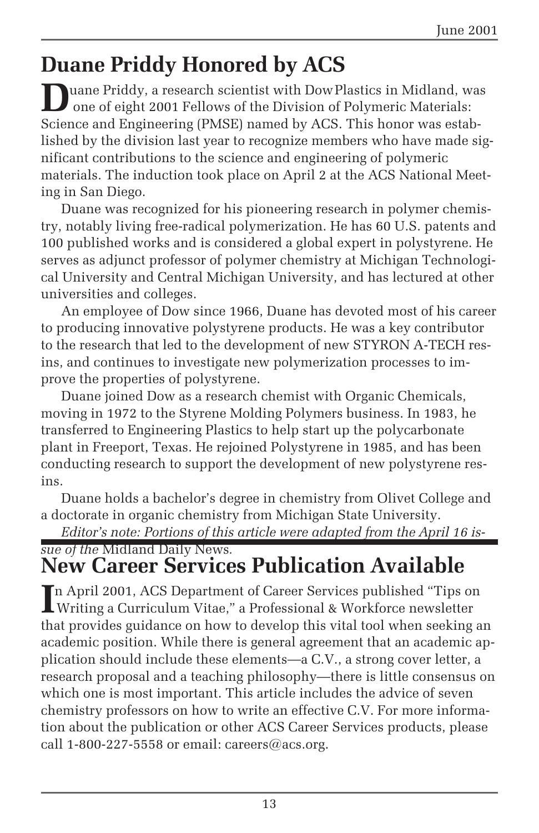# **Duane Priddy Honored by ACS**

**D**uane Priddy, a research scientist with DowPlastics in Midland, was one of eight 2001 Fellows of the Division of Polymeric Materials: Science and Engineering (PMSE) named by ACS. This honor was established by the division last year to recognize members who have made significant contributions to the science and engineering of polymeric materials. The induction took place on April 2 at the ACS National Meeting in San Diego.

Duane was recognized for his pioneering research in polymer chemistry, notably living free-radical polymerization. He has 60 U.S. patents and 100 published works and is considered a global expert in polystyrene. He serves as adjunct professor of polymer chemistry at Michigan Technological University and Central Michigan University, and has lectured at other universities and colleges.

An employee of Dow since 1966, Duane has devoted most of his career to producing innovative polystyrene products. He was a key contributor to the research that led to the development of new STYRON A-TECH resins, and continues to investigate new polymerization processes to improve the properties of polystyrene.

Duane joined Dow as a research chemist with Organic Chemicals, moving in 1972 to the Styrene Molding Polymers business. In 1983, he transferred to Engineering Plastics to help start up the polycarbonate plant in Freeport, Texas. He rejoined Polystyrene in 1985, and has been conducting research to support the development of new polystyrene resins.

Duane holds a bachelor's degree in chemistry from Olivet College and a doctorate in organic chemistry from Michigan State University.

*Editor's note: Portions of this article were adapted from the April 16 is-*

### *sue of the* Midland Daily News*.* **New Career Services Publication Available**

In April 2001, ACS Department of Career Services published "Tips on Writing a Curriculum Vitae," a Professional & Workforce newsletter Writing a Curriculum Vitae," a Professional & Workforce newsletter that provides guidance on how to develop this vital tool when seeking an academic position. While there is general agreement that an academic application should include these elements—a C.V., a strong cover letter, a research proposal and a teaching philosophy—there is little consensus on which one is most important. This article includes the advice of seven chemistry professors on how to write an effective C.V. For more information about the publication or other ACS Career Services products, please call  $1$ -800-227-5558 or email: careers@acs.org.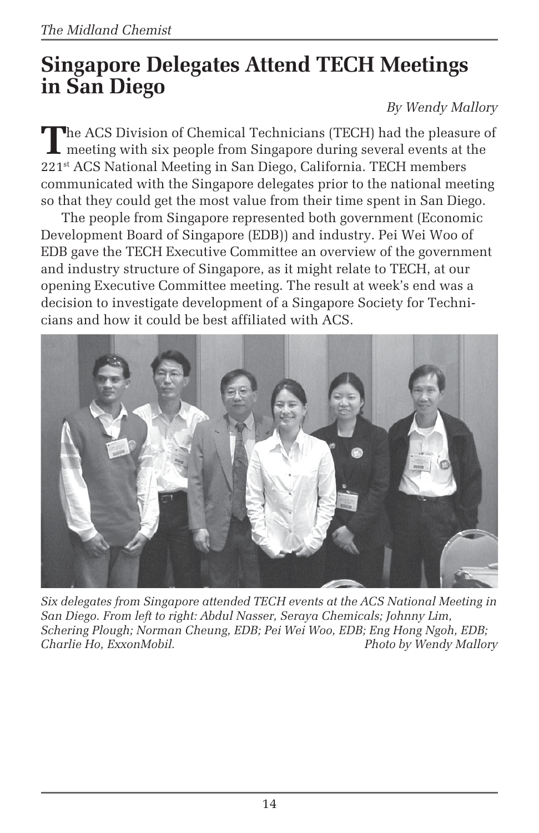### **Singapore Delegates Attend TECH Meetings in San Diego**

### *By Wendy Mallory*

The ACS Division of Chemical Technicians (TECH) had the pleasure of meeting with six people from Singapore during several events at the 221st ACS National Meeting in San Diego, California. TECH members communicated with the Singapore delegates prior to the national meeting so that they could get the most value from their time spent in San Diego.

The people from Singapore represented both government (Economic Development Board of Singapore (EDB)) and industry. Pei Wei Woo of EDB gave the TECH Executive Committee an overview of the government and industry structure of Singapore, as it might relate to TECH, at our opening Executive Committee meeting. The result at week's end was a decision to investigate development of a Singapore Society for Technicians and how it could be best affiliated with ACS.



*Six delegates from Singapore attended TECH events at the ACS National Meeting in San Diego. From left to right: Abdul Nasser, Seraya Chemicals; Johnny Lim, Schering Plough; Norman Cheung, EDB; Pei Wei Woo, EDB; Eng Hong Ngoh, EDB;* **Photo by Wendy Mallory**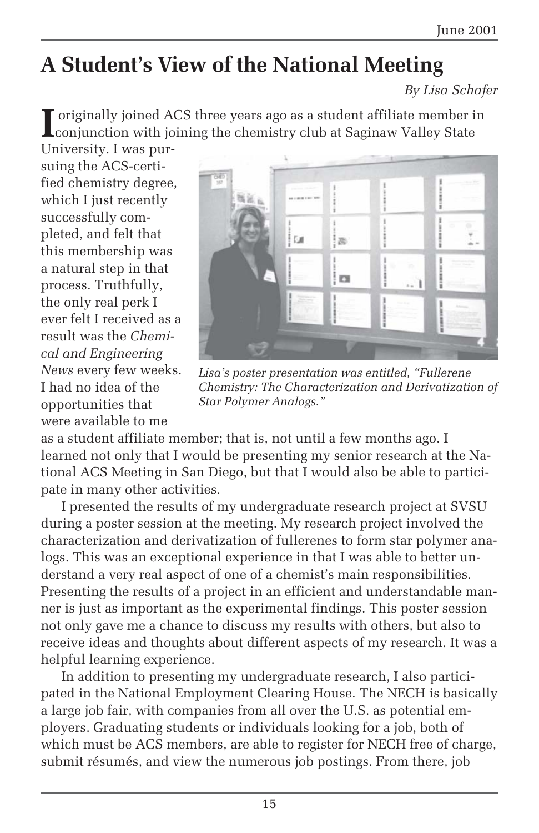# **A Student's View of the National Meeting**

*By Lisa Schafer*

**I** originally joined ACS three years ago as a student affiliate member in conjunction with joining the chemistry club at Saginaw Valley State

University. I was pursuing the ACS-certified chemistry degree, which I just recently successfully completed, and felt that this membership was a natural step in that process. Truthfully, the only real perk I ever felt I received as a result was the *Chemical and Engineering News* every few weeks. I had no idea of the opportunities that were available to me



*Lisa's poster presentation was entitled, "Fullerene Chemistry: The Characterization and Derivatization of Star Polymer Analogs."*

as a student affiliate member; that is, not until a few months ago. I learned not only that I would be presenting my senior research at the National ACS Meeting in San Diego, but that I would also be able to participate in many other activities.

I presented the results of my undergraduate research project at SVSU during a poster session at the meeting. My research project involved the characterization and derivatization of fullerenes to form star polymer analogs. This was an exceptional experience in that I was able to better understand a very real aspect of one of a chemist's main responsibilities. Presenting the results of a project in an efficient and understandable manner is just as important as the experimental findings. This poster session not only gave me a chance to discuss my results with others, but also to receive ideas and thoughts about different aspects of my research. It was a helpful learning experience.

In addition to presenting my undergraduate research, I also participated in the National Employment Clearing House. The NECH is basically a large job fair, with companies from all over the U.S. as potential employers. Graduating students or individuals looking for a job, both of which must be ACS members, are able to register for NECH free of charge, submit résumés, and view the numerous job postings. From there, job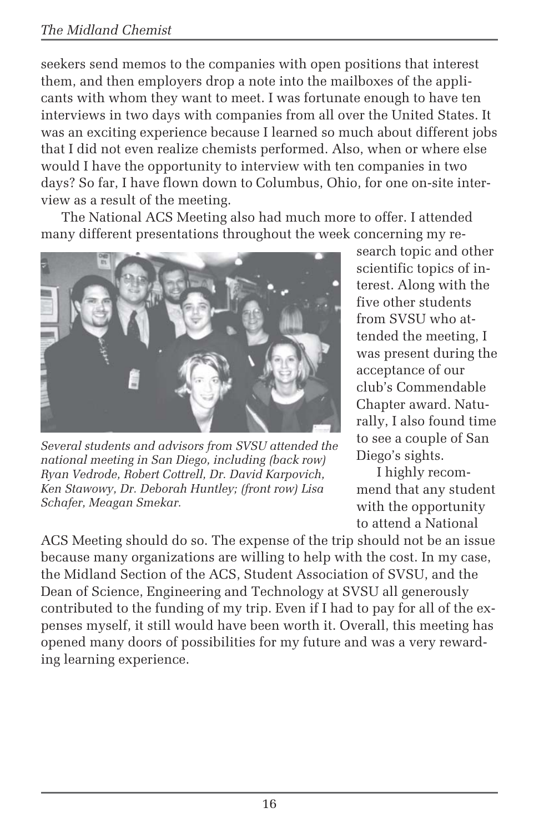#### *The Midland Chemist*

seekers send memos to the companies with open positions that interest them, and then employers drop a note into the mailboxes of the applicants with whom they want to meet. I was fortunate enough to have ten interviews in two days with companies from all over the United States. It was an exciting experience because I learned so much about different jobs that I did not even realize chemists performed. Also, when or where else would I have the opportunity to interview with ten companies in two days? So far, I have flown down to Columbus, Ohio, for one on-site interview as a result of the meeting.

The National ACS Meeting also had much more to offer. I attended many different presentations throughout the week concerning my re-



*Several students and advisors from SVSU attended the national meeting in San Diego, including (back row) Ryan Vedrode, Robert Cottrell, Dr. David Karpovich, Ken Stawowy, Dr. Deborah Huntley; (front row) Lisa Schafer, Meagan Smekar.*

search topic and other scientific topics of interest. Along with the five other students from SVSU who attended the meeting, I was present during the acceptance of our club's Commendable Chapter award. Naturally, I also found time to see a couple of San Diego's sights.

I highly recommend that any student with the opportunity to attend a National

ACS Meeting should do so. The expense of the trip should not be an issue because many organizations are willing to help with the cost. In my case, the Midland Section of the ACS, Student Association of SVSU, and the Dean of Science, Engineering and Technology at SVSU all generously contributed to the funding of my trip. Even if I had to pay for all of the expenses myself, it still would have been worth it. Overall, this meeting has opened many doors of possibilities for my future and was a very rewarding learning experience.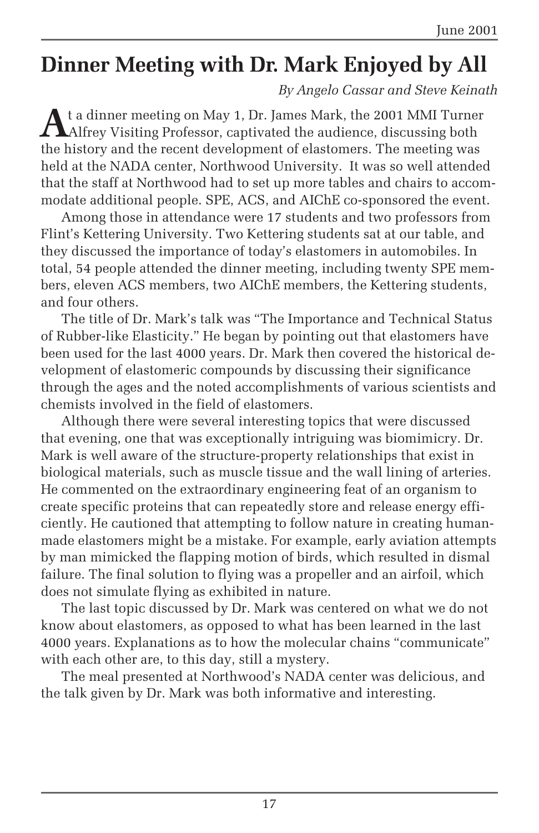# **Dinner Meeting with Dr. Mark Enjoyed by All**

*By Angelo Cassar and Steve Keinath*

**A**t a dinner meeting on May 1, Dr. James Mark, the 2001 MMI Turner Alfrey Visiting Professor, captivated the audience, discussing both the history and the recent development of elastomers. The meeting was held at the NADA center, Northwood University. It was so well attended that the staff at Northwood had to set up more tables and chairs to accommodate additional people. SPE, ACS, and AIChE co-sponsored the event.

Among those in attendance were 17 students and two professors from Flint's Kettering University. Two Kettering students sat at our table, and they discussed the importance of today's elastomers in automobiles. In total, 54 people attended the dinner meeting, including twenty SPE members, eleven ACS members, two AIChE members, the Kettering students, and four others.

The title of Dr. Mark's talk was "The Importance and Technical Status of Rubber-like Elasticity." He began by pointing out that elastomers have been used for the last 4000 years. Dr. Mark then covered the historical development of elastomeric compounds by discussing their significance through the ages and the noted accomplishments of various scientists and chemists involved in the field of elastomers.

Although there were several interesting topics that were discussed that evening, one that was exceptionally intriguing was biomimicry. Dr. Mark is well aware of the structure-property relationships that exist in biological materials, such as muscle tissue and the wall lining of arteries. He commented on the extraordinary engineering feat of an organism to create specific proteins that can repeatedly store and release energy efficiently. He cautioned that attempting to follow nature in creating humanmade elastomers might be a mistake. For example, early aviation attempts by man mimicked the flapping motion of birds, which resulted in dismal failure. The final solution to flying was a propeller and an airfoil, which does not simulate flying as exhibited in nature.

The last topic discussed by Dr. Mark was centered on what we do not know about elastomers, as opposed to what has been learned in the last 4000 years. Explanations as to how the molecular chains "communicate" with each other are, to this day, still a mystery.

The meal presented at Northwood's NADA center was delicious, and the talk given by Dr. Mark was both informative and interesting.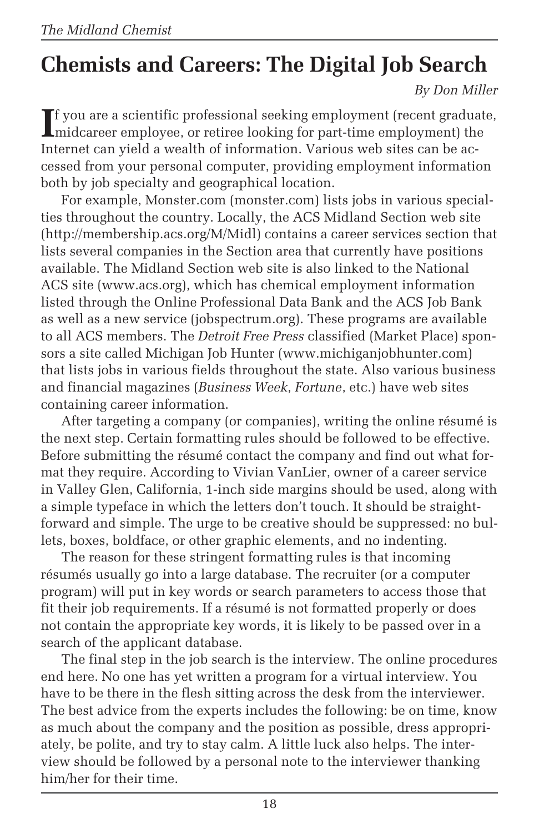# **Chemists and Careers: The Digital Job Search**

*By Don Miller*

If you are a scientific professional seeking employment (recent graduat)<br>indicareer employee, or retiree looking for part-time employment) the f you are a scientific professional seeking employment (recent graduate, Internet can yield a wealth of information. Various web sites can be accessed from your personal computer, providing employment information both by job specialty and geographical location.

For example, Monster.com (monster.com) lists jobs in various specialties throughout the country. Locally, the ACS Midland Section web site (http://membership.acs.org/M/Midl) contains a career services section that lists several companies in the Section area that currently have positions available. The Midland Section web site is also linked to the National ACS site (www.acs.org), which has chemical employment information listed through the Online Professional Data Bank and the ACS Job Bank as well as a new service (jobspectrum.org). These programs are available to all ACS members. The *Detroit Free Press* classified (Market Place) sponsors a site called Michigan Job Hunter (www.michiganjobhunter.com) that lists jobs in various fields throughout the state. Also various business and financial magazines (*Business Week*, *Fortune*, etc.) have web sites containing career information.

After targeting a company (or companies), writing the online résumé is the next step. Certain formatting rules should be followed to be effective. Before submitting the résumé contact the company and find out what format they require. According to Vivian VanLier, owner of a career service in Valley Glen, California, 1-inch side margins should be used, along with a simple typeface in which the letters don't touch. It should be straightforward and simple. The urge to be creative should be suppressed: no bullets, boxes, boldface, or other graphic elements, and no indenting.

The reason for these stringent formatting rules is that incoming résumés usually go into a large database. The recruiter (or a computer program) will put in key words or search parameters to access those that fit their job requirements. If a résumé is not formatted properly or does not contain the appropriate key words, it is likely to be passed over in a search of the applicant database.

The final step in the job search is the interview. The online procedures end here. No one has yet written a program for a virtual interview. You have to be there in the flesh sitting across the desk from the interviewer. The best advice from the experts includes the following: be on time, know as much about the company and the position as possible, dress appropriately, be polite, and try to stay calm. A little luck also helps. The interview should be followed by a personal note to the interviewer thanking him/her for their time.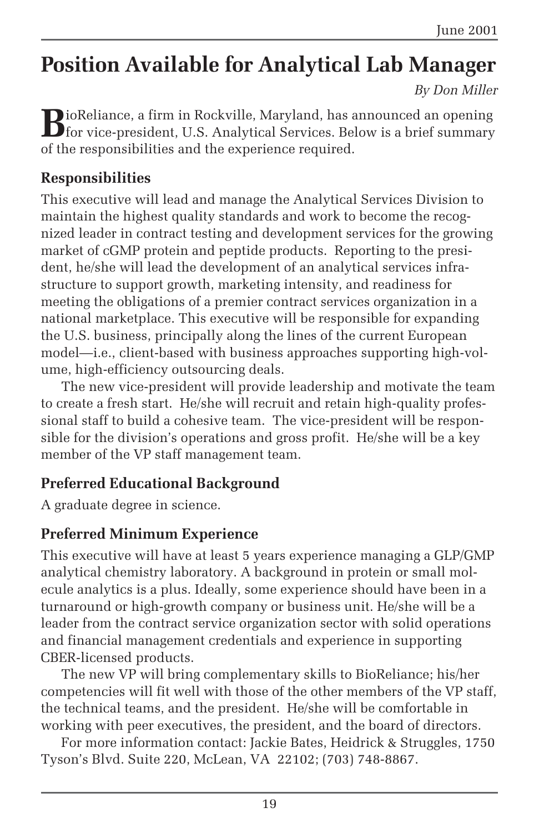# **Position Available for Analytical Lab Manager**

*By Don Miller*

**B**ioReliance, a firm in Rockville, Maryland, has announced an opening<br>for vice-president, U.S. Analytical Services. Below is a brief summary of the responsibilities and the experience required.

#### **Responsibilities**

This executive will lead and manage the Analytical Services Division to maintain the highest quality standards and work to become the recognized leader in contract testing and development services for the growing market of cGMP protein and peptide products. Reporting to the president, he/she will lead the development of an analytical services infrastructure to support growth, marketing intensity, and readiness for meeting the obligations of a premier contract services organization in a national marketplace. This executive will be responsible for expanding the U.S. business, principally along the lines of the current European model—i.e., client-based with business approaches supporting high-volume, high-efficiency outsourcing deals.

The new vice-president will provide leadership and motivate the team to create a fresh start. He/she will recruit and retain high-quality professional staff to build a cohesive team. The vice-president will be responsible for the division's operations and gross profit. He/she will be a key member of the VP staff management team.

### **Preferred Educational Background**

A graduate degree in science.

### **Preferred Minimum Experience**

This executive will have at least 5 years experience managing a GLP/GMP analytical chemistry laboratory. A background in protein or small molecule analytics is a plus. Ideally, some experience should have been in a turnaround or high-growth company or business unit. He/she will be a leader from the contract service organization sector with solid operations and financial management credentials and experience in supporting CBER-licensed products.

The new VP will bring complementary skills to BioReliance; his/her competencies will fit well with those of the other members of the VP staff, the technical teams, and the president. He/she will be comfortable in working with peer executives, the president, and the board of directors.

For more information contact: Jackie Bates, Heidrick & Struggles, 1750 Tyson's Blvd. Suite 220, McLean, VA 22102; (703) 748-8867.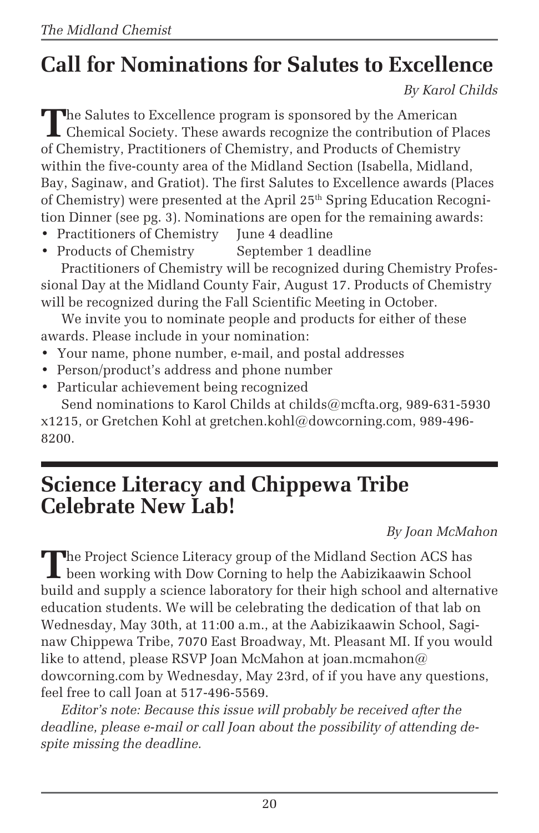# **Call for Nominations for Salutes to Excellence**

*By Karol Childs*

**T**he Salutes to Excellence program is sponsored by the American Chemical Society. These awards recognize the contribution of Places of Chemistry, Practitioners of Chemistry, and Products of Chemistry within the five-county area of the Midland Section (Isabella, Midland, Bay, Saginaw, and Gratiot). The first Salutes to Excellence awards (Places of Chemistry) were presented at the April 25<sup>th</sup> Spring Education Recognition Dinner (see pg. 3). Nominations are open for the remaining awards:

- Practitioners of Chemistry June 4 deadline
- Products of Chemistry September 1 deadline

Practitioners of Chemistry will be recognized during Chemistry Professional Day at the Midland County Fair, August 17. Products of Chemistry will be recognized during the Fall Scientific Meeting in October.

We invite you to nominate people and products for either of these awards. Please include in your nomination:

- Your name, phone number, e-mail, and postal addresses
- Person/product's address and phone number
- Particular achievement being recognized Send nominations to Karol Childs at childs@mcfta.org, 989-631-5930

x1215, or Gretchen Kohl at gretchen.kohl@dowcorning.com, 989-496- 8200.

### **Science Literacy and Chippewa Tribe Celebrate New Lab!**

*By Joan McMahon*

The Project Science Literacy group of the Midland Section ACS has been working with Dow Corning to help the Aabizikaawin School build and supply a science laboratory for their high school and alternative education students. We will be celebrating the dedication of that lab on Wednesday, May 30th, at 11:00 a.m., at the Aabizikaawin School, Saginaw Chippewa Tribe, 7070 East Broadway, Mt. Pleasant MI. If you would like to attend, please RSVP Joan McMahon at joan.mcmahon@ dowcorning.com by Wednesday, May 23rd, of if you have any questions, feel free to call Joan at 517-496-5569.

*Editor's note: Because this issue will probably be received after the deadline, please e-mail or call Joan about the possibility of attending despite missing the deadline.*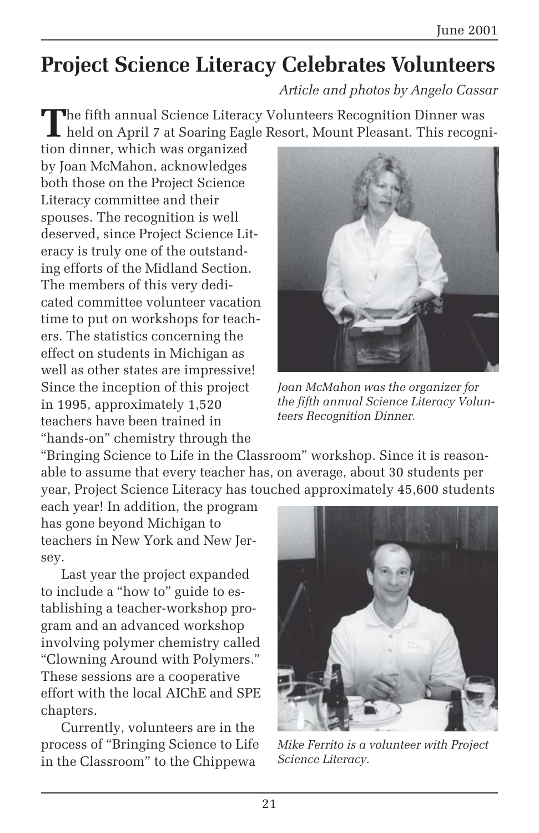## **Project Science Literacy Celebrates Volunteers**

*Article and photos by Angelo Cassar*

**T**he fifth annual Science Literacy Volunteers Recognition Dinner was held on April 7 at Soaring Eagle Resort, Mount Pleasant. This recogni-

tion dinner, which was organized by Joan McMahon, acknowledges both those on the Project Science Literacy committee and their spouses. The recognition is well deserved, since Project Science Literacy is truly one of the outstanding efforts of the Midland Section. The members of this very dedicated committee volunteer vacation time to put on workshops for teachers. The statistics concerning the effect on students in Michigan as well as other states are impressive! Since the inception of this project in 1995, approximately 1,520 teachers have been trained in "hands-on" chemistry through the



*Joan McMahon was the organizer for the fifth annual Science Literacy Volunteers Recognition Dinner.*

"Bringing Science to Life in the Classroom" workshop. Since it is reasonable to assume that every teacher has, on average, about 30 students per year, Project Science Literacy has touched approximately 45,600 students

each year! In addition, the program has gone beyond Michigan to teachers in New York and New Jersey.

Last year the project expanded to include a "how to" guide to establishing a teacher-workshop program and an advanced workshop involving polymer chemistry called "Clowning Around with Polymers." These sessions are a cooperative effort with the local AIChE and SPE chapters.

Currently, volunteers are in the process of "Bringing Science to Life in the Classroom" to the Chippewa



*Mike Ferrito is a volunteer with Project Science Literacy.*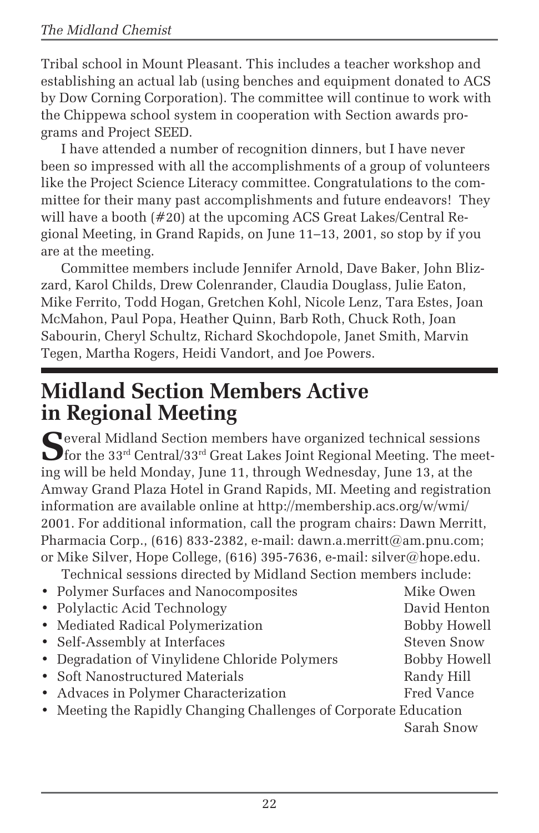Tribal school in Mount Pleasant. This includes a teacher workshop and establishing an actual lab (using benches and equipment donated to ACS by Dow Corning Corporation). The committee will continue to work with the Chippewa school system in cooperation with Section awards programs and Project SEED.

I have attended a number of recognition dinners, but I have never been so impressed with all the accomplishments of a group of volunteers like the Project Science Literacy committee. Congratulations to the committee for their many past accomplishments and future endeavors! They will have a booth (#20) at the upcoming ACS Great Lakes/Central Regional Meeting, in Grand Rapids, on June 11–13, 2001, so stop by if you are at the meeting.

Committee members include Jennifer Arnold, Dave Baker, John Blizzard, Karol Childs, Drew Colenrander, Claudia Douglass, Julie Eaton, Mike Ferrito, Todd Hogan, Gretchen Kohl, Nicole Lenz, Tara Estes, Joan McMahon, Paul Popa, Heather Quinn, Barb Roth, Chuck Roth, Joan Sabourin, Cheryl Schultz, Richard Skochdopole, Janet Smith, Marvin Tegen, Martha Rogers, Heidi Vandort, and Joe Powers.

### **Midland Section Members Active in Regional Meeting**

Several Midland Section members have organized technical sessions<br>for the 33<sup>rd</sup> Central/33<sup>rd</sup> Great Lakes Joint Regional Meeting. The meeting will be held Monday, June 11, through Wednesday, June 13, at the Amway Grand Plaza Hotel in Grand Rapids, MI. Meeting and registration information are available online at http://membership.acs.org/w/wmi/ 2001. For additional information, call the program chairs: Dawn Merritt, Pharmacia Corp.,  $(616)$  833-2382, e-mail: dawn.a.merritt@am.pnu.com; or Mike Silver, Hope College, (616) 395-7636, e-mail: silver@hope.edu.

Technical sessions directed by Midland Section members include:

| • Polymer Surfaces and Nanocomposites                            | Mike Owen           |
|------------------------------------------------------------------|---------------------|
| • Polylactic Acid Technology                                     | David Henton        |
| • Mediated Radical Polymerization                                | <b>Bobby Howell</b> |
| • Self-Assembly at Interfaces                                    | <b>Steven Snow</b>  |
| • Degradation of Vinylidene Chloride Polymers                    | <b>Bobby Howell</b> |
| • Soft Nanostructured Materials                                  | Randy Hill          |
| • Advaces in Polymer Characterization                            | Fred Vance          |
| • Meeting the Rapidly Changing Challenges of Corporate Education |                     |
|                                                                  | Sarah Snow          |
|                                                                  |                     |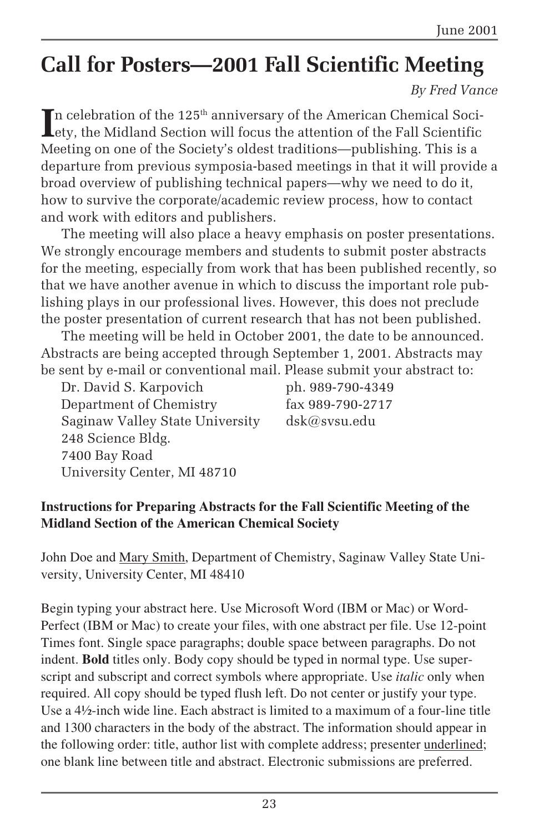# **Call for Posters—2001 Fall Scientific Meeting**

*By Fred Vance*

In celebration of the  $125^{\text{th}}$  anniversary of the American Chemical Society, the Midland Section will focus the attention of the Fall Scientific ety, the Midland Section will focus the attention of the Fall Scientific Meeting on one of the Society's oldest traditions—publishing. This is a departure from previous symposia-based meetings in that it will provide a broad overview of publishing technical papers—why we need to do it, how to survive the corporate/academic review process, how to contact and work with editors and publishers.

The meeting will also place a heavy emphasis on poster presentations. We strongly encourage members and students to submit poster abstracts for the meeting, especially from work that has been published recently, so that we have another avenue in which to discuss the important role publishing plays in our professional lives. However, this does not preclude the poster presentation of current research that has not been published.

The meeting will be held in October 2001, the date to be announced. Abstracts are being accepted through September 1, 2001. Abstracts may be sent by e-mail or conventional mail. Please submit your abstract to:

Dr. David S. Karpovich ph. 989-790-4349 Department of Chemistry fax 989-790-2717 Saginaw Valley State University dsk@svsu.edu 248 Science Bldg. 7400 Bay Road University Center, MI 48710

#### **Instructions for Preparing Abstracts for the Fall Scientific Meeting of the Midland Section of the American Chemical Society**

John Doe and Mary Smith, Department of Chemistry, Saginaw Valley State University, University Center, MI 48410

Begin typing your abstract here. Use Microsoft Word (IBM or Mac) or Word-Perfect (IBM or Mac) to create your files, with one abstract per file. Use 12-point Times font. Single space paragraphs; double space between paragraphs. Do not indent. **Bold** titles only. Body copy should be typed in normal type. Use superscript and subscript and correct symbols where appropriate. Use *italic* only when required. All copy should be typed flush left. Do not center or justify your type. Use a 4½-inch wide line. Each abstract is limited to a maximum of a four-line title and 1300 characters in the body of the abstract. The information should appear in the following order: title, author list with complete address; presenter underlined; one blank line between title and abstract. Electronic submissions are preferred.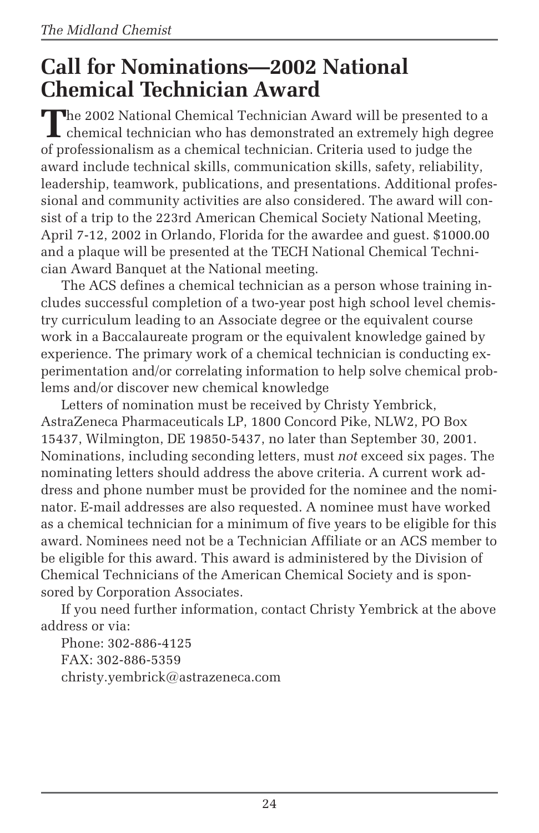### **Call for Nominations—2002 National Chemical Technician Award**

The 2002 National Chemical Technician Award will be presented to a chemical technician who has demonstrated an extremely high degree of professionalism as a chemical technician. Criteria used to judge the award include technical skills, communication skills, safety, reliability, leadership, teamwork, publications, and presentations. Additional professional and community activities are also considered. The award will consist of a trip to the 223rd American Chemical Society National Meeting, April 7-12, 2002 in Orlando, Florida for the awardee and guest. \$1000.00 and a plaque will be presented at the TECH National Chemical Technician Award Banquet at the National meeting.

The ACS defines a chemical technician as a person whose training includes successful completion of a two-year post high school level chemistry curriculum leading to an Associate degree or the equivalent course work in a Baccalaureate program or the equivalent knowledge gained by experience. The primary work of a chemical technician is conducting experimentation and/or correlating information to help solve chemical problems and/or discover new chemical knowledge

Letters of nomination must be received by Christy Yembrick, AstraZeneca Pharmaceuticals LP, 1800 Concord Pike, NLW2, PO Box 15437, Wilmington, DE 19850-5437, no later than September 30, 2001. Nominations, including seconding letters, must *not* exceed six pages. The nominating letters should address the above criteria. A current work address and phone number must be provided for the nominee and the nominator. E-mail addresses are also requested. A nominee must have worked as a chemical technician for a minimum of five years to be eligible for this award. Nominees need not be a Technician Affiliate or an ACS member to be eligible for this award. This award is administered by the Division of Chemical Technicians of the American Chemical Society and is sponsored by Corporation Associates.

If you need further information, contact Christy Yembrick at the above address or via:

Phone: 302-886-4125 FAX: 302-886-5359 christy.yembrick@astrazeneca.com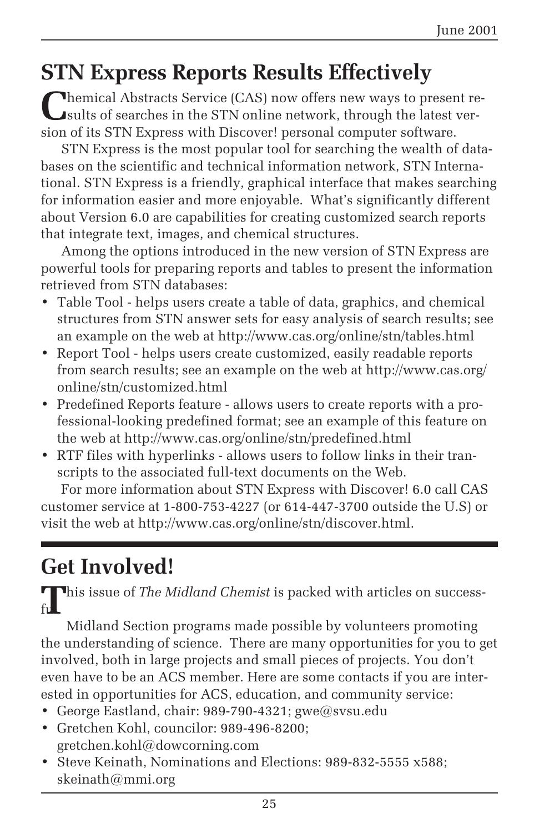# **STN Express Reports Results Effectively**

**C**hemical Abstracts Service (CAS) now offers new ways to present results of searches in the STN online network, through the latest version of its STN Express with Discover! personal computer software.

STN Express is the most popular tool for searching the wealth of databases on the scientific and technical information network, STN International. STN Express is a friendly, graphical interface that makes searching for information easier and more enjoyable. What's significantly different about Version 6.0 are capabilities for creating customized search reports that integrate text, images, and chemical structures.

Among the options introduced in the new version of STN Express are powerful tools for preparing reports and tables to present the information retrieved from STN databases:

- Table Tool helps users create a table of data, graphics, and chemical structures from STN answer sets for easy analysis of search results; see an example on the web at http://www.cas.org/online/stn/tables.html
- Report Tool helps users create customized, easily readable reports from search results; see an example on the web at http://www.cas.org/ online/stn/customized.html
- Predefined Reports feature allows users to create reports with a professional-looking predefined format; see an example of this feature on the web at http://www.cas.org/online/stn/predefined.html
- RTF files with hyperlinks allows users to follow links in their transcripts to the associated full-text documents on the Web.

For more information about STN Express with Discover! 6.0 call CAS customer service at 1-800-753-4227 (or 614-447-3700 outside the U.S) or visit the web at http://www.cas.org/online/stn/discover.html.

# **Get Involved!**

This issue of *The Midland Chemist* is packed with articles on success $f$ ull

Midland Section programs made possible by volunteers promoting the understanding of science. There are many opportunities for you to get involved, both in large projects and small pieces of projects. You don't even have to be an ACS member. Here are some contacts if you are interested in opportunities for ACS, education, and community service:

- George Eastland, chair: 989-790-4321; gwe@svsu.edu
- Gretchen Kohl, councilor: 989-496-8200; gretchen.kohl@dowcorning.com
- Steve Keinath, Nominations and Elections: 989-832-5555 x588; skeinath@mmi.org